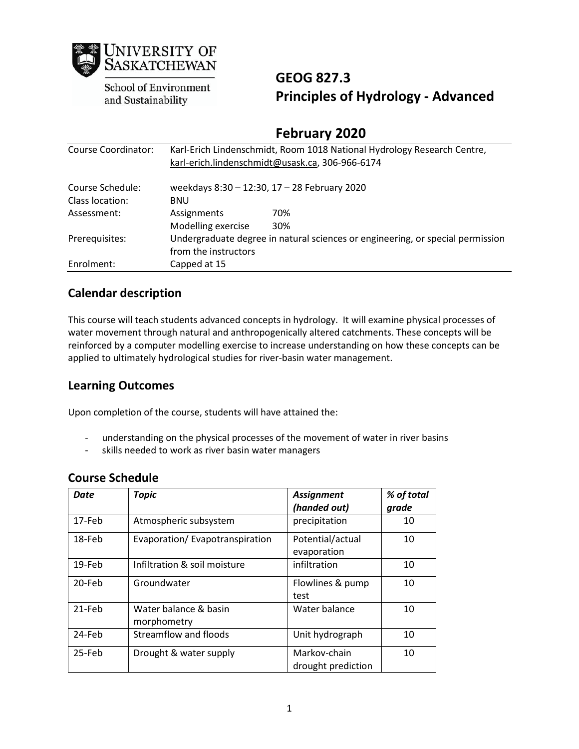

School of Environment and Sustainability

# **GEOG 827.3 Principles of Hydrology - Advanced**

## **February 2020**

| Course Coordinator: | Karl-Erich Lindenschmidt, Room 1018 National Hydrology Research Centre,<br>karl-erich.lindenschmidt@usask.ca, 306-966-6174 |     |  |
|---------------------|----------------------------------------------------------------------------------------------------------------------------|-----|--|
| Course Schedule:    | weekdays 8:30 - 12:30, 17 - 28 February 2020                                                                               |     |  |
| Class location:     | <b>BNU</b>                                                                                                                 |     |  |
| Assessment:         | Assignments                                                                                                                | 70% |  |
|                     | Modelling exercise                                                                                                         | 30% |  |
| Prerequisites:      | Undergraduate degree in natural sciences or engineering, or special permission                                             |     |  |
|                     | from the instructors                                                                                                       |     |  |
| Enrolment:          | Capped at 15                                                                                                               |     |  |

### **Calendar description**

This course will teach students advanced concepts in hydrology. It will examine physical processes of water movement through natural and anthropogenically altered catchments. These concepts will be reinforced by a computer modelling exercise to increase understanding on how these concepts can be applied to ultimately hydrological studies for river-basin water management.

### **Learning Outcomes**

Upon completion of the course, students will have attained the:

- understanding on the physical processes of the movement of water in river basins
- skills needed to work as river basin water managers

### **Course Schedule**

| Date   | <b>Topic</b>                         | <b>Assignment</b><br>(handed out)  | % of total<br>grade |
|--------|--------------------------------------|------------------------------------|---------------------|
| 17-Feb | Atmospheric subsystem                | precipitation                      | 10                  |
| 18-Feb | Evaporation/Evapotranspiration       | Potential/actual<br>evaporation    | 10                  |
| 19-Feb | Infiltration & soil moisture         | infiltration                       | 10                  |
| 20-Feb | Groundwater                          | Flowlines & pump<br>test           | 10                  |
| 21-Feb | Water balance & basin<br>morphometry | Water balance                      | 10                  |
| 24-Feb | Streamflow and floods                | Unit hydrograph                    | 10                  |
| 25-Feb | Drought & water supply               | Markov-chain<br>drought prediction | 10 <sup>1</sup>     |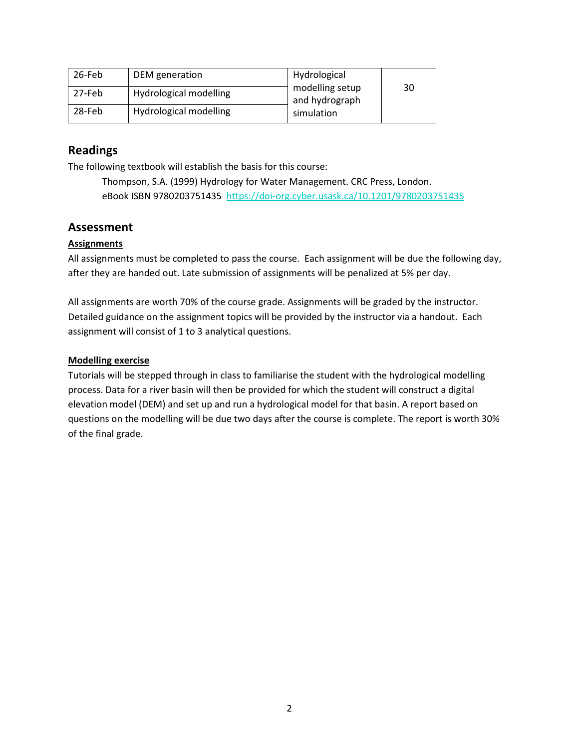| 26-Feb | DEM generation         | Hydrological                      |    |
|--------|------------------------|-----------------------------------|----|
| 27-Feb | Hydrological modelling | modelling setup<br>and hydrograph | 30 |
| 28-Feb | Hydrological modelling | simulation                        |    |

### **Readings**

The following textbook will establish the basis for this course:

Thompson, S.A. (1999) Hydrology for Water Management. CRC Press, London. eBook ISBN 9780203751435 https://doi-org.cyber.usask.ca/10.1201/9780203751435

### **Assessment**

#### **Assignments**

All assignments must be completed to pass the course. Each assignment will be due the following day, after they are handed out. Late submission of assignments will be penalized at 5% per day.

All assignments are worth 70% of the course grade. Assignments will be graded by the instructor. Detailed guidance on the assignment topics will be provided by the instructor via a handout. Each assignment will consist of 1 to 3 analytical questions.

#### **Modelling exercise**

Tutorials will be stepped through in class to familiarise the student with the hydrological modelling process. Data for a river basin will then be provided for which the student will construct a digital elevation model (DEM) and set up and run a hydrological model for that basin. A report based on questions on the modelling will be due two days after the course is complete. The report is worth 30% of the final grade.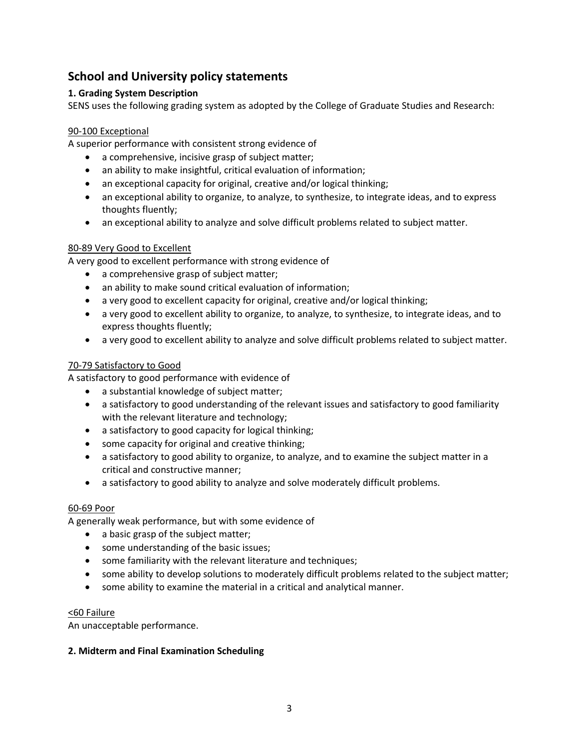### **School and University policy statements**

#### **1. Grading System Description**

SENS uses the following grading system as adopted by the College of Graduate Studies and Research:

#### 90-100 Exceptional

A superior performance with consistent strong evidence of

- a comprehensive, incisive grasp of subject matter;
- an ability to make insightful, critical evaluation of information;
- an exceptional capacity for original, creative and/or logical thinking;
- an exceptional ability to organize, to analyze, to synthesize, to integrate ideas, and to express thoughts fluently;
- an exceptional ability to analyze and solve difficult problems related to subject matter.

#### 80-89 Very Good to Excellent

A very good to excellent performance with strong evidence of

- a comprehensive grasp of subject matter;
- an ability to make sound critical evaluation of information;
- a very good to excellent capacity for original, creative and/or logical thinking;
- a very good to excellent ability to organize, to analyze, to synthesize, to integrate ideas, and to express thoughts fluently;
- a very good to excellent ability to analyze and solve difficult problems related to subject matter.

#### 70-79 Satisfactory to Good

A satisfactory to good performance with evidence of

- a substantial knowledge of subject matter;
- a satisfactory to good understanding of the relevant issues and satisfactory to good familiarity with the relevant literature and technology;
- a satisfactory to good capacity for logical thinking;
- some capacity for original and creative thinking;
- a satisfactory to good ability to organize, to analyze, and to examine the subject matter in a critical and constructive manner;
- a satisfactory to good ability to analyze and solve moderately difficult problems.

#### 60-69 Poor

A generally weak performance, but with some evidence of

- a basic grasp of the subject matter;
- some understanding of the basic issues;
- some familiarity with the relevant literature and techniques;
- some ability to develop solutions to moderately difficult problems related to the subject matter;
- some ability to examine the material in a critical and analytical manner.

#### <60 Failure

An unacceptable performance.

#### **2. Midterm and Final Examination Scheduling**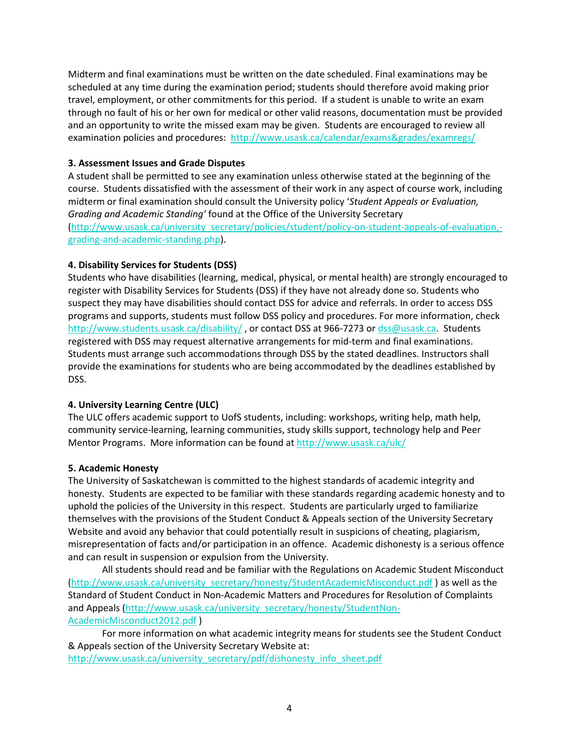Midterm and final examinations must be written on the date scheduled. Final examinations may be scheduled at any time during the examination period; students should therefore avoid making prior travel, employment, or other commitments for this period. If a student is unable to write an exam through no fault of his or her own for medical or other valid reasons, documentation must be provided and an opportunity to write the missed exam may be given. Students are encouraged to review all examination policies and procedures: http://www.usask.ca/calendar/exams&grades/examregs/

#### **3. Assessment Issues and Grade Disputes**

A student shall be permitted to see any examination unless otherwise stated at the beginning of the course. Students dissatisfied with the assessment of their work in any aspect of course work, including midterm or final examination should consult the University policy '*Student Appeals or Evaluation, Grading and Academic Standing'* found at the Office of the University Secretary (http://www.usask.ca/university\_secretary/policies/student/policy-on-student-appeals-of-evaluation, grading-and-academic-standing.php).

#### **4. Disability Services for Students (DSS)**

Students who have disabilities (learning, medical, physical, or mental health) are strongly encouraged to register with Disability Services for Students (DSS) if they have not already done so. Students who suspect they may have disabilities should contact DSS for advice and referrals. In order to access DSS programs and supports, students must follow DSS policy and procedures. For more information, check http://www.students.usask.ca/disability/, or contact DSS at 966-7273 or dss@usask.ca. Students registered with DSS may request alternative arrangements for mid-term and final examinations. Students must arrange such accommodations through DSS by the stated deadlines. Instructors shall provide the examinations for students who are being accommodated by the deadlines established by DSS.

#### **4. University Learning Centre (ULC)**

The ULC offers academic support to UofS students, including: workshops, writing help, math help, community service-learning, learning communities, study skills support, technology help and Peer Mentor Programs. More information can be found at http://www.usask.ca/ulc/

#### **5. Academic Honesty**

The University of Saskatchewan is committed to the highest standards of academic integrity and honesty. Students are expected to be familiar with these standards regarding academic honesty and to uphold the policies of the University in this respect. Students are particularly urged to familiarize themselves with the provisions of the Student Conduct & Appeals section of the University Secretary Website and avoid any behavior that could potentially result in suspicions of cheating, plagiarism, misrepresentation of facts and/or participation in an offence. Academic dishonesty is a serious offence and can result in suspension or expulsion from the University.

All students should read and be familiar with the Regulations on Academic Student Misconduct (http://www.usask.ca/university\_secretary/honesty/StudentAcademicMisconduct.pdf) as well as the Standard of Student Conduct in Non-Academic Matters and Procedures for Resolution of Complaints and Appeals (http://www.usask.ca/university\_secretary/honesty/StudentNon-AcademicMisconduct2012.pdf )

For more information on what academic integrity means for students see the Student Conduct & Appeals section of the University Secretary Website at: http://www.usask.ca/university\_secretary/pdf/dishonesty\_info\_sheet.pdf